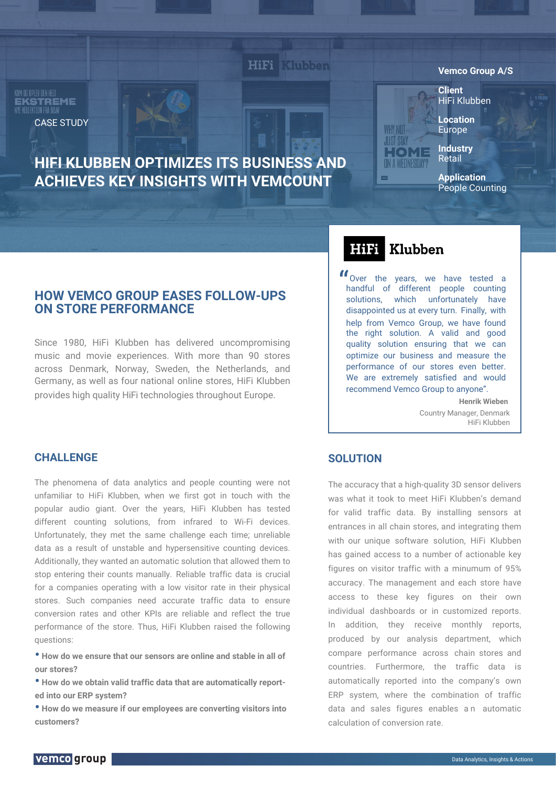KOM OG OPI FV DEN HELT **EKSTREME**<br>NYE KELLKTION FRA B&W CASE STUDY

# **HIFI KLUBBEN OPTIMIZES ITS BUSINESS AND ACHIEVES KEY INSIGHTS WITH VEMCOUNT**

**HiFi** 

**Vemco Group A/S**

**Client** HiFi Klubben

**Location** Europe

**Industry Retail** 

**Application** People Counting

## **HOW VEMCO GROUP EASES FOLLOW-UPS ON STORE PERFORMANCE**

Since 1980, HiFi Klubben has delivered uncompromising music and movie experiences. With more than 90 stores across Denmark, Norway, Sweden, the Netherlands, and Germany, as well as four national online stores, HiFi Klubben provides high quality HiFi technologies throughout Europe.

#### Klubben HiFi

**WHY NOT JUST STAY** HOME ON A WEDNESDAY?

Over the years, we have tested a **"** Over the years, we have tested a handful of different people counting solutions, which unfortunately have disappointed us at every turn. Finally, with help from Vemco Group, we have found the right solution. A valid and good quality solution ensuring that we can optimize our business and measure the performance of our stores even better. We are extremely satisfied and would recommend Vemco Group to anyone".

> **Henrik Wieben** Country Manager, Denmark HiFi Klubben

### **CHALLENGE**

The phenomena of data analytics and people counting were not unfamiliar to HiFi Klubben, when we first got in touch with the popular audio giant. Over the years, HiFi Klubben has tested different counting solutions, from infrared to Wi-Fi devices. Unfortunately, they met the same challenge each time; unreliable data as a result of unstable and hypersensitive counting devices. Additionally, they wanted an automatic solution that allowed them to stop entering their counts manually. Reliable traffic data is crucial for a companies operating with a low visitor rate in their physical stores. Such companies need accurate traffic data to ensure conversion rates and other KPIs are reliable and reflect the true performance of the store. Thus, HiFi Klubben raised the following questions:

**• How do we ensure that our sensors are online and stable in all of our stores?**

**• How do we obtain valid traffic data that are automatically reported into our ERP system?**

**• How do we measure if our employees are converting visitors into customers?**

### **SOLUTION**

The accuracy that a high-quality 3D sensor delivers was what it took to meet HiFi Klubben's demand for valid traffic data. By installing sensors at entrances in all chain stores, and integrating them with our unique software solution, HiFi Klubben has gained access to a number of actionable key figures on visitor traffic with a minumum of 95% accuracy. The management and each store have access to these key figures on their own individual dashboards or in customized reports. In addition, they receive monthly reports, produced by our analysis department, which compare performance across chain stores and countries. Furthermore, the traffic data is automatically reported into the company's own ERP system, where the combination of traffic data and sales figures enables an automatic calculation of conversion rate.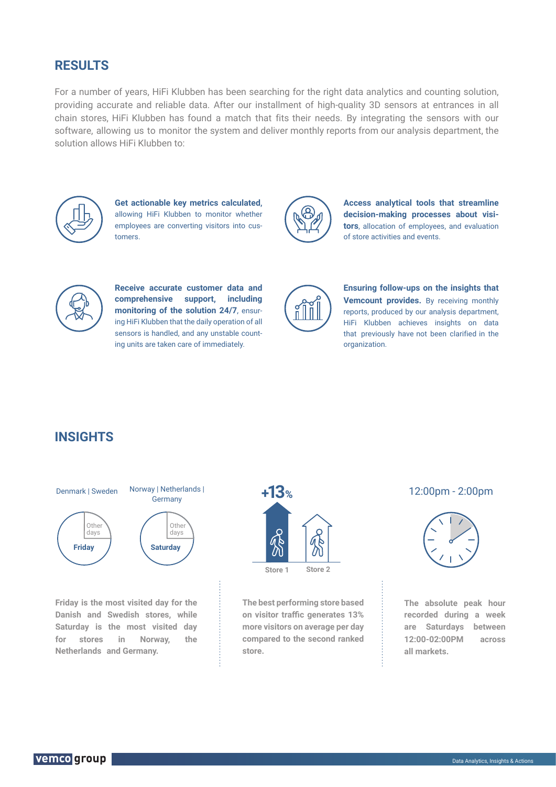## **RESULTS**

For a number of years, HiFi Klubben has been searching for the right data analytics and counting solution, providing accurate and reliable data. After our installment of high-quality 3D sensors at entrances in all chain stores, HiFi Klubben has found a match that fits their needs. By integrating the sensors with our software, allowing us to monitor the system and deliver monthly reports from our analysis department, the solution allows HiFi Klubben to:



**Get actionable key metrics calculated,**  allowing HiFi Klubben to monitor whether employees are converting visitors into customers.



**Access analytical tools that streamline decision-making processes about visitors**, allocation of employees, and evaluation of store activities and events.



**Receive accurate customer data and comprehensive support, including monitoring of the solution 24/7,** ensuring HiFi Klubben that the daily operation of all sensors is handled, and any unstable counting units are taken care of immediately.



**Ensuring follow-ups on the insights that Vemcount provides.** By receiving monthly reports, produced by our analysis department, HiFi Klubben achieves insights on data that previously have not been clarified in the organization.

# **INSIGHTS**



**Friday is the most visited day for the Danish and Swedish stores, while Saturday is the most visited day for stores in Norway, the Netherlands and Germany.**



**The best performing store based on visitor traffic generates 13% more visitors on average per day compared to the second ranked store.**



**The absolute peak hour recorded during a week are Saturdays between 12:00-02:00PM across all markets.**